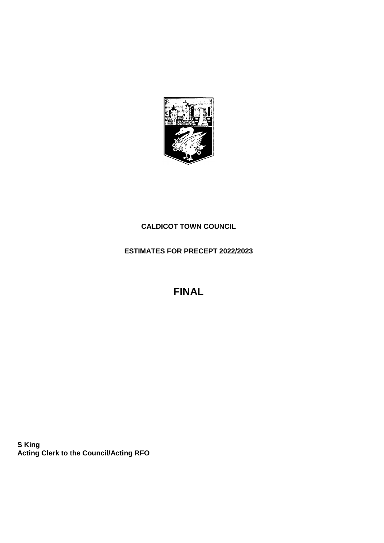

## **CALDICOT TOWN COUNCIL**

**ESTIMATES FOR PRECEPT 2022/2023**

**FINAL**

**S King Acting Clerk to the Council/Acting RFO**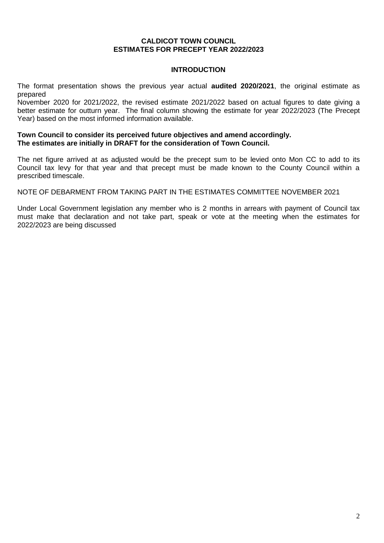### **CALDICOT TOWN COUNCIL ESTIMATES FOR PRECEPT YEAR 2022/2023**

## **INTRODUCTION**

The format presentation shows the previous year actual **audited 2020/2021**, the original estimate as prepared

November 2020 for 2021/2022, the revised estimate 2021/2022 based on actual figures to date giving a better estimate for outturn year. The final column showing the estimate for year 2022/2023 (The Precept Year) based on the most informed information available.

### **Town Council to consider its perceived future objectives and amend accordingly. The estimates are initially in DRAFT for the consideration of Town Council.**

The net figure arrived at as adjusted would be the precept sum to be levied onto Mon CC to add to its Council tax levy for that year and that precept must be made known to the County Council within a prescribed timescale.

NOTE OF DEBARMENT FROM TAKING PART IN THE ESTIMATES COMMITTEE NOVEMBER 2021

Under Local Government legislation any member who is 2 months in arrears with payment of Council tax must make that declaration and not take part, speak or vote at the meeting when the estimates for 2022/2023 are being discussed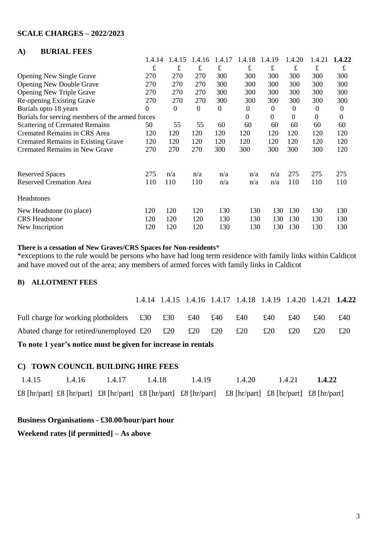## **SCALE CHARGES – 2022/2023**

## **A) BURIAL FEES**

|                                                 | 1.4.14         | 1.4.15           | 1.4.16           | 1.4.17         | 1.4.18         | 1.4.19       | 1.4.20         | 1.4.21         | 1.4.22           |
|-------------------------------------------------|----------------|------------------|------------------|----------------|----------------|--------------|----------------|----------------|------------------|
|                                                 | $\mathbf f$    | £                | $\pounds$        | £              | f              | $\pounds$    | £              | $\pounds$      | £                |
| <b>Opening New Single Grave</b>                 | 270            | 270              | 270              | 300            | 300            | 300          | 300            | 300            | 300              |
| <b>Opening New Double Grave</b>                 | 270            | 270              | 270              | 300            | 300            | 300          | 300            | 300            | 300              |
| <b>Opening New Triple Grave</b>                 | 270            | 270              | 270              | 300            | 300            | 300          | 300            | 300            | 300              |
| Re-opening Existing Grave                       | 270            | 270              | 270              | 300            | 300            | 300          | 300            | 300            | 300              |
| Burials upto 18 years                           | $\overline{0}$ | $\boldsymbol{0}$ | $\boldsymbol{0}$ | $\overline{0}$ | $\overline{0}$ | $\mathbf{0}$ | $\overline{0}$ | $\theta$       | $\boldsymbol{0}$ |
| Burials for serving members of the armed forces |                |                  |                  |                | $\Omega$       | $\theta$     | $\theta$       | $\overline{0}$ | $\boldsymbol{0}$ |
| <b>Scattering of Cremated Remains</b>           | 50             | 55               | 55               | 60             | 60             | 60           | 60             | 60             | 60               |
| <b>Cremated Remains in CRS Area</b>             | 120            | 120              | 120              | 120            | 120            | 120          | 120            | 120            | 120              |
| <b>Cremated Remains in Existing Grave</b>       | 120            | 120              | 120              | 120            | 120            | 120          | 120            | 120            | 120              |
| <b>Cremated Remains in New Grave</b>            | 270            | 270              | 270              | 300            | 300            | 300          | 300            | 300            | 120              |
| <b>Reserved Spaces</b>                          | 275            | n/a              | n/a              | n/a            | n/a            | n/a          | 275            | 275            | 275              |
| <b>Reserved Cremation Area</b>                  | 110            | 110              | 110              | n/a            | n/a            | n/a          | 110            | 110            | 110              |
| <b>Headstones</b>                               |                |                  |                  |                |                |              |                |                |                  |
| New Headstone (to place)                        | 120            | 120              | 120              | 130            | 130            | 130          | 130            | 130            | 130              |
| <b>CRS</b> Headstone                            | 120            | 120              | 120              | 130            | 130            | 130          | 130            | 130            | 130              |
| New Inscription                                 | 120            | 120              | 120              | 130            | 130            | 130          | 130            | 130            | 130              |

### **There is a cessation of New Graves/CRS Spaces for Non-residents**\*

\*exceptions to the rule would be persons who have had long term residence with family links within Caldicot and have moved out of the area; any members of armed forces with family links in Caldicot

## **B) ALLOTMENT FEES**

|                                                                                                                      |  |                                     | 1.4.14 1.4.15 1.4.16 1.4.17 1.4.18 1.4.19 1.4.20 1.4.21 1.4.22 |     |     |     |     |
|----------------------------------------------------------------------------------------------------------------------|--|-------------------------------------|----------------------------------------------------------------|-----|-----|-----|-----|
| Full charge for working plotholders $\text{\pounds}30$ $\text{\pounds}30$                                            |  | $\pounds40$ $\pounds40$ $\pounds40$ |                                                                | £40 | £40 | £40 | £40 |
| Abated charge for retired/unemployed £20 $\text{\pounds}20$ $\text{\pounds}20$ $\text{\pounds}20$ $\text{\pounds}20$ |  |                                     |                                                                | £20 | £20 | £20 | £20 |
| The country of concerning and the concentration of the concentration of the concentration of the concentration       |  |                                     |                                                                |     |     |     |     |

**To note 1 year's notice must be given for increase in rentals**

## **C) TOWN COUNCIL BUILDING HIRE FEES**

| 1.4.15 | 1.4.16 | 1.4.17 | 1.4.18 | 1.4.19                                                                                                  | 1.4.20 | 1.4.21 | 1.4.22 |
|--------|--------|--------|--------|---------------------------------------------------------------------------------------------------------|--------|--------|--------|
|        |        |        |        | £8 [hr/part] £8 [hr/part] £8 [hr/part] £8 [hr/part] £8 [hr/part] £8 [hr/part] £8 [hr/part] £8 [hr/part] |        |        |        |

### **Business Organisations - £30.00/hour/part hour**

## **Weekend rates [if permitted] – As above**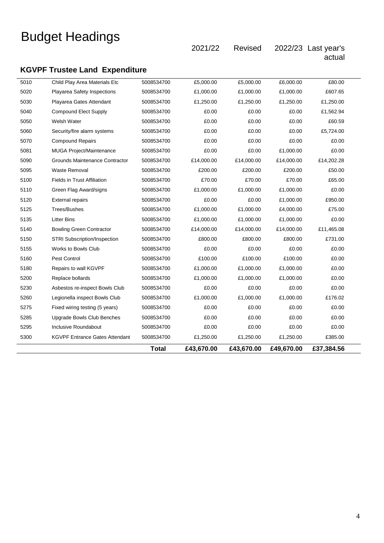2021/22 Revised 2022/23 Last year's

actual

## **KGVPF Trustee Land Expenditure**

|      |                                       | <b>Total</b> | £43,670.00 | £43,670.00 | £49,670.00 | £37,384.56 |  |
|------|---------------------------------------|--------------|------------|------------|------------|------------|--|
| 5300 | <b>KGVPF Entrance Gates Attendant</b> | 5008534700   | £1,250.00  | £1,250.00  | £1,250.00  | £385.00    |  |
| 5295 | Inclusive Roundabout                  | 5008534700   | £0.00      | £0.00      | £0.00      | £0.00      |  |
| 5285 | Upgrade Bowls Club Benches            | 5008534700   | £0.00      | £0.00      | £0.00      | £0.00      |  |
| 5275 | Fixed wiring testing (5 years)        | 5008534700   | £0.00      | £0.00      | £0.00      | £0.00      |  |
| 5260 | Legionella inspect Bowls Club         | 5008534700   | £1,000.00  | £1,000.00  | £1,000.00  | £176.02    |  |
| 5230 | Asbestos re-inspect Bowls Club        | 5008534700   | £0.00      | £0.00      | £0.00      | £0.00      |  |
| 5200 | Replace bollards                      | 5008534700   | £1,000.00  | £1,000.00  | £1,000.00  | £0.00      |  |
| 5180 | Repairs to wall KGVPF                 | 5008534700   | £1,000.00  | £1,000.00  | £1,000.00  | £0.00      |  |
| 5160 | Pest Control                          | 5008534700   | £100.00    | £100.00    | £100.00    | £0.00      |  |
| 5155 | Works to Bowls Club                   | 5008534700   | £0.00      | £0.00      | £0.00      | £0.00      |  |
| 5150 | STRI Subscription/Inspection          | 5008534700   | £800.00    | £800.00    | £800.00    | £731.00    |  |
| 5140 | <b>Bowling Green Contractor</b>       | 5008534700   | £14,000.00 | £14,000.00 | £14,000.00 | £11,465.08 |  |
| 5135 | <b>Litter Bins</b>                    | 5008534700   | £1,000.00  | £1,000.00  | £1,000.00  | £0.00      |  |
| 5125 | Trees/Bushes                          | 5008534700   | £1,000.00  | £1,000.00  | £4,000.00  | £75.00     |  |
| 5120 | <b>External repairs</b>               | 5008534700   | £0.00      | £0.00      | £1.000.00  | £950.00    |  |
| 5110 | Green Flag Award/signs                | 5008534700   | £1,000.00  | £1,000.00  | £1,000.00  | £0.00      |  |
| 5100 | <b>Fields in Trust Affiliation</b>    | 5008534700   | £70.00     | £70.00     | £70.00     | £65.00     |  |
| 5095 | Waste Removal                         | 5008534700   | £200.00    | £200.00    | £200.00    | £50.00     |  |
| 5090 | Grounds Maintenance Contractor        | 5008534700   | £14,000.00 | £14,000.00 | £14,000.00 | £14,202.28 |  |
| 5081 | MUGA Project/Maintenance              | 5008534700   | £0.00      | £0.00      | £1,000.00  | £0.00      |  |
| 5070 | <b>Compound Repairs</b>               | 5008534700   | £0.00      | £0.00      | £0.00      | £0.00      |  |
| 5060 | Security/fire alarm systems           | 5008534700   | £0.00      | £0.00      | £0.00      | £5,724.00  |  |
| 5050 | Welsh Water                           | 5008534700   | £0.00      | £0.00      | £0.00      | £60.59     |  |
| 5040 | <b>Compound Elect Supply</b>          | 5008534700   | £0.00      | £0.00      | £0.00      | £1,562.94  |  |
| 5030 | Playarea Gates Attendant              | 5008534700   | £1,250.00  | £1,250.00  | £1,250.00  | £1,250.00  |  |
| 5020 | Playarea Safety Inspections           | 5008534700   | £1,000.00  | £1,000.00  | £1,000.00  | £607.65    |  |
| 5010 | Child Play Area Materials Etc         | 5008534700   | £5,000.00  | £5,000.00  | £6,000.00  | £80.00     |  |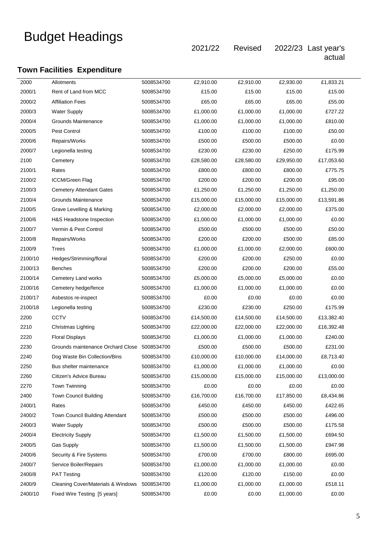2021/22 Revised 2022/23 Last year's actual

## **Town Facilities Expenditure**

| 2000    | Allotments                                    | 5008534700 | £2,910.00  | £2,910.00  | £2,930.00  | £1,833.21  |
|---------|-----------------------------------------------|------------|------------|------------|------------|------------|
| 2000/1  | Rent of Land from MCC                         | 5008534700 | £15.00     | £15.00     | £15.00     | £15.00     |
| 2000/2  | <b>Affiliation Fees</b>                       | 5008534700 | £65.00     | £65.00     | £65.00     | £55.00     |
| 2000/3  | <b>Water Supply</b>                           | 5008534700 | £1,000.00  | £1,000.00  | £1,000.00  | £727.22    |
| 2000/4  | Grounds Maintenance                           | 5008534700 | £1,000.00  | £1,000.00  | £1,000.00  | £810.00    |
| 2000/5  | Pest Control                                  | 5008534700 | £100.00    | £100.00    | £100.00    | £50.00     |
| 2000/6  | Repairs/Works                                 | 5008534700 | £500.00    | £500.00    | £500.00    | £0.00      |
| 2000/7  | Legionella testing                            | 5008534700 | £230.00    | £230.00    | £250.00    | £175.99    |
| 2100    | Cemetery                                      | 5008534700 | £28,580.00 | £28,580.00 | £29,950.00 | £17,053.60 |
| 2100/1  | Rates                                         | 5008534700 | £800.00    | £800.00    | £800.00    | £775.75    |
| 2100/2  | <b>ICCM/Green Flag</b>                        | 5008534700 | £200.00    | £200.00    | £200.00    | £95.00     |
| 2100/3  | <b>Cemetery Attendant Gates</b>               | 5008534700 | £1,250.00  | £1,250.00  | £1,250.00  | £1,250.00  |
| 2100/4  | Grounds Maintenance                           | 5008534700 | £15,000.00 | £15,000.00 | £15,000.00 | £13,591.86 |
| 2100/5  | Grave Levelling & Marking                     | 5008534700 | £2,000.00  | £2,000.00  | £2,000.00  | £375.00    |
| 2100/6  | H&S Headstone Inspection                      | 5008534700 | £1,000.00  | £1,000.00  | £1,000.00  | £0.00      |
| 2100/7  | Vermin & Pest Control                         | 5008534700 | £500.00    | £500.00    | £500.00    | £50.00     |
| 2100/8  | Repairs/Works                                 | 5008534700 | £200.00    | £200.00    | £500.00    | £85.00     |
| 2100/9  | Trees                                         | 5008534700 | £1,000.00  | £1,000.00  | £2,000.00  | £600.00    |
| 2100/10 | Hedges/Strimming/floral                       | 5008534700 | £200.00    | £200.00    | £250.00    | £0.00      |
| 2100/13 | Benches                                       | 5008534700 | £200.00    | £200.00    | £200.00    | £55.00     |
| 2100/14 | Cemetery Land works                           | 5008534700 | £5,000.00  | £5,000.00  | £5,000.00  | £0.00      |
| 2100/16 | Cemetery hedge/fence                          | 5008534700 | £1,000.00  | £1,000.00  | £1,000.00  | £0.00      |
| 2100/17 | Asbestos re-inspect                           | 5008534700 | £0.00      | £0.00      | £0.00      | £0.00      |
| 2100/18 | Legionella testing                            | 5008534700 | £230.00    | £230.00    | £250.00    | £175.99    |
| 2200    | <b>CCTV</b>                                   | 5008534700 | £14,500.00 | £14,500.00 | £14,500.00 | £13,382.40 |
| 2210    | Christmas Lighting                            | 5008534700 | £22,000.00 | £22,000.00 | £22,000.00 | £16,392.48 |
| 2220    | <b>Floral Displays</b>                        | 5008534700 | £1,000.00  | £1,000.00  | £1,000.00  | £240.00    |
| 2230    | Grounds maintenance Orchard Close             | 5008534700 | £500.00    | £500.00    | £500.00    | £231.00    |
| 2240    | Dog Waste Bin Collection/Bins                 | 5008534700 | £10,000.00 | £10,000.00 | £14,000.00 | £8,713.40  |
| 2250    | Bus shelter maintenance                       | 5008534700 | £1,000.00  | £1,000.00  | £1,000.00  | £0.00      |
| 2260    | Citizen's Advice Bureau                       | 5008534700 | £15,000.00 | £15,000.00 | £15,000.00 | £13,000.00 |
| 2270    | Town Twinning                                 | 5008534700 | £0.00      | £0.00      | £0.00      | £0.00      |
| 2400    | <b>Town Council Building</b>                  | 5008534700 | £16,700.00 | £16,700.00 | £17,850.00 | £8,434.86  |
| 2400/1  | Rates                                         | 5008534700 | £450.00    | £450.00    | £450.00    | £422.65    |
| 2400/2  | Town Council Building Attendant               | 5008534700 | £500.00    | £500.00    | £500.00    | £496.00    |
| 2400/3  | <b>Water Supply</b>                           | 5008534700 | £500.00    | £500.00    | £500.00    | £175.58    |
| 2400/4  | <b>Electricity Supply</b>                     | 5008534700 | £1,500.00  | £1,500.00  | £1,500.00  | £694.50    |
| 2400/5  | <b>Gas Supply</b>                             | 5008534700 | £1,500.00  | £1,500.00  | £1,500.00  | £947.98    |
| 2400/6  | Security & Fire Systems                       | 5008534700 | £700.00    | £700.00    | £800.00    | £695.00    |
| 2400/7  | Service Boiler/Repairs                        | 5008534700 | £1,000.00  | £1,000.00  | £1,000.00  | £0.00      |
| 2400/8  | <b>PAT Testing</b>                            | 5008534700 | £120.00    | £120.00    | £150.00    | £0.00      |
| 2400/9  | <b>Cleaning Cover/Materials &amp; Windows</b> | 5008534700 | £1,000.00  | £1,000.00  | £1,000.00  | £518.11    |
| 2400/10 | Fixed Wire Testing [5 years]                  | 5008534700 | £0.00      | £0.00      | £1,000.00  | £0.00      |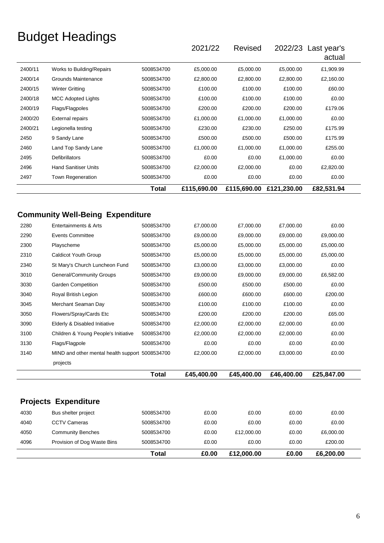|                                                                                              |                                                 |              | 2021/22     | <b>Revised</b> | 2022/23 Last year's     | actual     |
|----------------------------------------------------------------------------------------------|-------------------------------------------------|--------------|-------------|----------------|-------------------------|------------|
| 2400/11                                                                                      | Works to Building/Repairs                       | 5008534700   | £5,000.00   | £5,000.00      | £5,000.00               | £1,909.99  |
| 2400/14                                                                                      | Grounds Maintenance                             | 5008534700   | £2,800.00   | £2,800.00      | £2,800.00               | £2,160.00  |
| 2400/15                                                                                      | <b>Winter Gritting</b>                          | 5008534700   | £100.00     | £100.00        | £100.00                 | £60.00     |
| 2400/18                                                                                      | <b>MCC Adopted Lights</b>                       | 5008534700   | £100.00     | £100.00        | £100.00                 | £0.00      |
| 2400/19                                                                                      | Flags/Flagpoles                                 | 5008534700   | £200.00     | £200.00        | £200.00                 | £179.06    |
| 2400/20                                                                                      | <b>External repairs</b>                         | 5008534700   | £1,000.00   | £1,000.00      | £1,000.00               | £0.00      |
| 2400/21                                                                                      | Legionella testing                              | 5008534700   | £230.00     | £230.00        | £250.00                 | £175.99    |
| 2450                                                                                         | 9 Sandy Lane                                    | 5008534700   | £500.00     | £500.00        | £500.00                 | £175.99    |
| 2460                                                                                         | Land Top Sandy Lane                             | 5008534700   | £1,000.00   | £1,000.00      | £1,000.00               | £255.00    |
| 2495                                                                                         | Defibrillators                                  | 5008534700   | £0.00       | £0.00          | £1,000.00               | £0.00      |
| 2496                                                                                         | <b>Hand Sanitiser Units</b>                     | 5008534700   | £2,000.00   | £2,000.00      | £0.00                   | £2,820.00  |
| 2497                                                                                         | Town Regeneration                               | 5008534700   | £0.00       | £0.00          | £0.00                   | £0.00      |
|                                                                                              |                                                 | <b>Total</b> | £115,690.00 |                | £115,690.00 £121,230.00 | £82,531.94 |
|                                                                                              | <b>Community Well-Being Expenditure</b>         |              |             |                |                         |            |
|                                                                                              |                                                 |              |             |                |                         |            |
| 2280                                                                                         | Entertainments & Arts                           | 5008534700   | £7,000.00   | £7,000.00      | £7,000.00               | £0.00      |
|                                                                                              | <b>Events Committee</b>                         | 5008534700   | £9,000.00   | £9,000.00      | £9,000.00               | £9,000.00  |
|                                                                                              | Playscheme                                      | 5008534700   | £5,000.00   | £5,000.00      | £5,000.00               | £5,000.00  |
|                                                                                              | Caldicot Youth Group                            | 5008534700   | £5,000.00   | £5,000.00      | £5,000.00               | £5,000.00  |
|                                                                                              | St Mary's Church Luncheon Fund                  | 5008534700   | £3,000.00   | £3,000.00      | £3,000.00               | £0.00      |
|                                                                                              | General/Community Groups                        | 5008534700   | £9,000.00   | £9,000.00      | £9,000.00               | £6,582.00  |
|                                                                                              | Garden Competition                              | 5008534700   | £500.00     | £500.00        | £500.00                 | £0.00      |
|                                                                                              | Royal British Legion                            | 5008534700   | £600.00     | £600.00        | £600.00                 | £200.00    |
|                                                                                              | Merchant Seaman Day                             | 5008534700   | £100.00     | £100.00        | £100.00                 | £0.00      |
|                                                                                              | Flowers/Spray/Cards Etc                         | 5008534700   | £200.00     | £200.00        | £200.00                 | £65.00     |
|                                                                                              | Elderly & Disabled Initiative                   | 5008534700   | £2,000.00   | £2,000.00      | £2,000.00               | £0.00      |
|                                                                                              | Children & Young People's Initiative            | 5008534700   | £2,000.00   | £2,000.00      | £2,000.00               | £0.00      |
| 2290<br>2300<br>2310<br>2340<br>3010<br>3030<br>3040<br>3045<br>3050<br>3090<br>3100<br>3130 | Flags/Flagpole                                  | 5008534700   | £0.00       | £0.00          | £0.00                   | £0.00      |
| 3140                                                                                         | MIND and other mental health support 5008534700 |              | £2,000.00   | £2,000.00      | £3,000.00               | £0.00      |
|                                                                                              | projects                                        |              |             |                |                         |            |

|      |                             | Total      | £0.00 | £12,000.00 | £0.00 | £6,200.00 |  |
|------|-----------------------------|------------|-------|------------|-------|-----------|--|
| 4096 | Provision of Dog Waste Bins | 5008534700 | £0.00 | £0.00      | £0.00 | £200.00   |  |
| 4050 | <b>Community Benches</b>    | 5008534700 | £0.00 | £12,000.00 | £0.00 | £6,000.00 |  |
| 4040 | <b>CCTV Cameras</b>         | 5008534700 | £0.00 | £0.00      | £0.00 | £0.00     |  |
| 4030 | Bus shelter project         | 5008534700 | £0.00 | £0.00      | £0.00 | £0.00     |  |
|      | <b>Projects Expenditure</b> |            |       |            |       |           |  |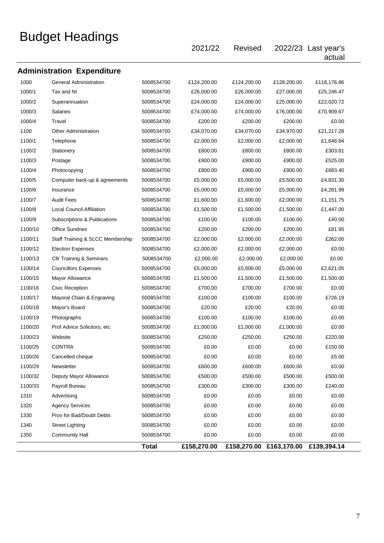|         |                                     |              | 2021/22     | Revised     |                         | 2022/23 Last year's<br>actual |  |
|---------|-------------------------------------|--------------|-------------|-------------|-------------------------|-------------------------------|--|
|         | <b>Administration Expenditure</b>   |              |             |             |                         |                               |  |
| 1000    | <b>General Administration</b>       | 5008534700   | £124,200.00 | £124,200.00 | £128,200.00             | £118,176.86                   |  |
| 1000/1  | Tax and NI                          | 5008534700   | £26,000.00  | £26,000.00  | £27,000.00              | £25,246.47                    |  |
| 1000/2  | Superannuation                      | 5008534700   | £24,000.00  | £24,000.00  | £25,000.00              | £22,020.72                    |  |
| 1000/3  | <b>Salaries</b>                     | 5008534700   | £74,000.00  | £74,000.00  | £76,000.00              | £70,909.67                    |  |
| 1000/4  | Travel                              | 5008534700   | £200.00     | £200.00     | £200.00                 | £0.00                         |  |
| 1100    | <b>Other Administration</b>         | 5008534700   | £34,070.00  | £34,070.00  | £34,970.00              | £21,217.28                    |  |
| 1100/1  | Telephone                           | 5008534700   | £2,000.00   | £2,000.00   | £2,000.00               | £1,646.84                     |  |
| 1100/2  | Stationery                          | 5008534700   | £800.00     | £800.00     | £800.00                 | £303.81                       |  |
| 1100/3  | Postage                             | 5008534700   | £900.00     | £900.00     | £900.00                 | £525.00                       |  |
| 1100/4  | Photocopying                        | 5008534700   | £900.00     | £900.00     | £900.00                 | £683.40                       |  |
| 1100/5  | Computer back-up & agreements       | 5008534700   | £5,000.00   | £5,000.00   | £5,500.00               | £4,831.30                     |  |
| 1100/6  | Insurance                           | 5008534700   | £5,000.00   | £5,000.00   | £5,000.00               | £4,281.99                     |  |
| 1100/7  | <b>Audit Fees</b>                   | 5008534700   | £1,600.00   | £1,600.00   | £2,000.00               | £1,151.75                     |  |
| 1100/8  | <b>Local Council Affiliation</b>    | 5008534700   | £1,500.00   | £1,500.00   | £1,500.00               | £1,447.00                     |  |
| 1100/9  | Subscriptions & Publications        | 5008534700   | £100.00     | £100.00     | £100.00                 | £40.00                        |  |
| 1100/10 | <b>Office Sundries</b>              | 5008534700   | £200.00     | £200.00     | £200.00                 | £81.95                        |  |
| 1100/11 | Staff Training & SLCC Membership    | 5008534700   | £2,000.00   | £2,000.00   | £2,000.00               | £262.00                       |  |
| 1100/12 | <b>Election Expenses</b>            | 5008534700   | £2,000.00   | £2,000.00   | £2,000.00               | £0.00                         |  |
| 1100/13 | <b>Cllr Training &amp; Seminars</b> | 5008534700   | £2,000.00   | £2,000.00   | £2,000.00               | £0.00                         |  |
| 1100/14 | <b>Councillors Expenses</b>         | 5008534700   | £5,000.00   | £5,000.00   | £5,000.00               | £2,621.05                     |  |
| 1100/15 | <b>Mayor Allowance</b>              | 5008534700   | £1,500.00   | £1,500.00   | £1,500.00               | £1,500.00                     |  |
| 1100/16 | Civic Reception                     | 5008534700   | £700.00     | £700.00     | £700.00                 | £0.00                         |  |
| 1100/17 | Mayoral Chain & Engraving           | 5008534700   | £100.00     | £100.00     | £100.00                 | £726.19                       |  |
| 1100/18 | Mayor's Board                       | 5008534700   | £20.00      | £20.00      | £20.00                  | £0.00                         |  |
| 1100/19 | Photographs                         | 5008534700   | £100.00     | £100.00     | £100.00                 | £0.00                         |  |
| 1100/20 | Prof Advice Solicitors, etc.        | 5008534700   | £1,000.00   | £1,000.00   | £1,000.00               | £0.00                         |  |
| 1100/23 | Website                             | 5008534700   | £250.00     | £250.00     | £250.00                 | £220.00                       |  |
| 1100/25 | <b>CONTRA</b>                       | 5008534700   | £0.00       | £0.00       | £0.00                   | £150.00                       |  |
| 1100/26 | Cancelled cheque                    | 5008534700   | £0.00       | £0.00       | £0.00                   | £5.00                         |  |
| 1100/29 | Newsletter                          | 5008534700   | £600.00     | £600.00     | £600.00                 | £0.00                         |  |
| 1100/32 | Deputy Mayor Allowance              | 5008534700   | £500.00     | £500.00     | £500.00                 | £500.00                       |  |
| 1100/33 | Payroll Bureau                      | 5008534700   | £300.00     | £300.00     | £300.00                 | £240.00                       |  |
| 1310    | Advertising                         | 5008534700   | £0.00       | £0.00       | £0.00                   | £0.00                         |  |
| 1320    | <b>Agency Services</b>              | 5008534700   | £0.00       | £0.00       | £0.00                   | £0.00                         |  |
| 1330    | Prov for Bad/Doubt Debts            | 5008534700   | £0.00       | £0.00       | £0.00                   | £0.00                         |  |
| 1340    | <b>Street Lighting</b>              | 5008534700   | £0.00       | £0.00       | £0.00                   | £0.00                         |  |
| 1350    | <b>Community Hall</b>               | 5008534700   | £0.00       | £0.00       | £0.00                   | £0.00                         |  |
|         |                                     | <b>Total</b> | £158,270.00 |             | £158,270.00 £163,170.00 | £139,394.14                   |  |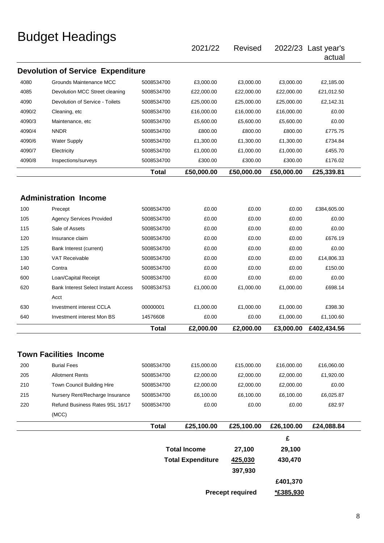|        |                                            |              | 2021/22                  | <b>Revised</b>          |            | 2022/23 Last year's<br>actual |
|--------|--------------------------------------------|--------------|--------------------------|-------------------------|------------|-------------------------------|
|        | <b>Devolution of Service Expenditure</b>   |              |                          |                         |            |                               |
| 4080   | Grounds Maintenance MCC                    | 5008534700   | £3,000.00                | £3,000.00               | £3,000.00  | £2,185.00                     |
| 4085   | Devolution MCC Street cleaning             | 5008534700   | £22,000.00               | £22,000.00              | £22,000.00 | £21,012.50                    |
| 4090   | Devolution of Service - Toilets            | 5008534700   | £25,000.00               | £25,000.00              | £25,000.00 | £2,142.31                     |
| 4090/2 | Cleaning, etc                              | 5008534700   | £16,000.00               | £16,000.00              | £16,000.00 | £0.00                         |
| 4090/3 | Maintenance, etc                           | 5008534700   | £5,600.00                | £5,600.00               | £5,600.00  | £0.00                         |
| 4090/4 | <b>NNDR</b>                                | 5008534700   | £800.00                  | £800.00                 | £800.00    | £775.75                       |
| 4090/6 | <b>Water Supply</b>                        | 5008534700   | £1,300.00                | £1,300.00               | £1,300.00  | £734.84                       |
| 4090/7 | Electricity                                | 5008534700   | £1,000.00                | £1,000.00               | £1,000.00  | £455.70                       |
| 4090/8 | Inspections/surveys                        | 5008534700   | £300.00                  | £300.00                 | £300.00    | £176.02                       |
|        |                                            | <b>Total</b> | £50,000.00               | £50,000.00              | £50,000.00 | £25,339.81                    |
|        |                                            |              |                          |                         |            |                               |
|        | <b>Administration Income</b>               |              |                          |                         |            |                               |
|        |                                            |              |                          |                         |            |                               |
| 100    | Precept                                    | 5008534700   | £0.00                    | £0.00                   | £0.00      | £384,605.00                   |
| 105    | <b>Agency Services Provided</b>            | 5008534700   | £0.00                    | £0.00                   | £0.00      | £0.00                         |
| 115    | Sale of Assets                             | 5008534700   | £0.00                    | £0.00                   | £0.00      | £0.00                         |
| 120    | Insurance claim                            | 5008534700   | £0.00                    | £0.00                   | £0.00      | £676.19                       |
| 125    | Bank Interest (current)                    | 5008534700   | £0.00                    | £0.00                   | £0.00      | £0.00                         |
| 130    | <b>VAT Receivable</b>                      | 5008534700   | £0.00                    | £0.00                   | £0.00      | £14,806.33                    |
| 140    | Contra                                     | 5008534700   | £0.00                    | £0.00                   | £0.00      | £150.00                       |
| 600    | Loan/Capital Receipt                       | 5008534700   | £0.00                    | £0.00                   | £0.00      | £0.00                         |
| 620    | <b>Bank Interest Select Instant Access</b> | 5008534753   | £1,000.00                | £1,000.00               | £1,000.00  | £698.14                       |
|        | Acct                                       |              |                          |                         |            |                               |
| 630    | Investment interest CCLA                   | 00000001     | £1,000.00                | £1,000.00               | £1,000.00  | £398.30                       |
| 640    | Investment interest Mon BS                 | 14576608     | £0.00                    | £0.00                   | £1,000.00  | £1,100.60                     |
|        |                                            | <b>Total</b> | £2,000.00                | £2,000.00               | £3,000.00  | £402,434.56                   |
|        | <b>Town Facilities Income</b>              |              |                          |                         |            |                               |
| 200    | <b>Burial Fees</b>                         | 5008534700   | £15,000.00               | £15,000.00              | £16,000.00 | £16,060.00                    |
| 205    | <b>Allotment Rents</b>                     | 5008534700   | £2,000.00                | £2,000.00               | £2,000.00  | £1,920.00                     |
| 210    | Town Council Building Hire                 | 5008534700   | £2,000.00                | £2,000.00               | £2,000.00  | £0.00                         |
| 215    | Nursery Rent/Recharge Insurance            | 5008534700   | £6,100.00                | £6,100.00               | £6,100.00  | £6,025.87                     |
| 220    | Refund Business Rates 9SL 16/17            | 5008534700   | £0.00                    | £0.00                   | £0.00      | £82.97                        |
|        | (MCC)                                      |              |                          |                         |            |                               |
|        |                                            | <b>Total</b> | £25,100.00               | £25,100.00              | £26,100.00 | £24,088.84                    |
|        |                                            |              |                          |                         | £          |                               |
|        |                                            |              | <b>Total Income</b>      | 27,100                  | 29,100     |                               |
|        |                                            |              | <b>Total Expenditure</b> | 425,030                 | 430,470    |                               |
|        |                                            |              |                          | 397,930                 |            |                               |
|        |                                            |              |                          |                         | £401,370   |                               |
|        |                                            |              |                          |                         |            |                               |
|        |                                            |              |                          | <b>Precept required</b> | *£385,930  |                               |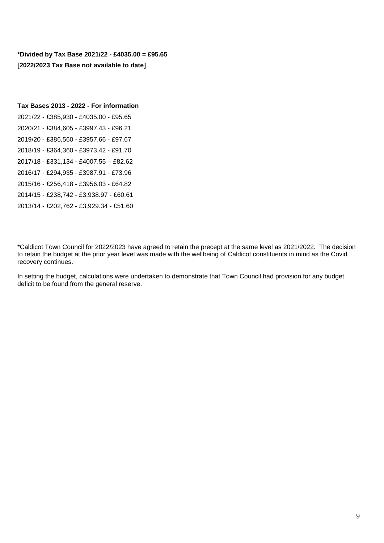**\*Divided by Tax Base 2021/22 - £4035.00 = £95.65 [2022/2023 Tax Base not available to date]** 

#### **Tax Bases 2013 - 2022 - For information**

2021/22 - £385,930 - £4035.00 - £95.65 2020/21 - £384,605 - £3997.43 - £96.21 2019/20 - £386,560 - £3957.66 - £97.67 2018/19 - £364,360 - £3973.42 - £91.70 2017/18 - £331,134 - £4007.55 – £82.62 2016/17 - £294,935 - £3987.91 - £73.96 2015/16 - £256,418 - £3956.03 - £64.82 2014/15 - £238,742 - £3,938.97 - £60.61 2013/14 - £202,762 - £3,929.34 - £51.60

\*Caldicot Town Council for 2022/2023 have agreed to retain the precept at the same level as 2021/2022. The decision to retain the budget at the prior year level was made with the wellbeing of Caldicot constituents in mind as the Covid recovery continues.

In setting the budget, calculations were undertaken to demonstrate that Town Council had provision for any budget deficit to be found from the general reserve.